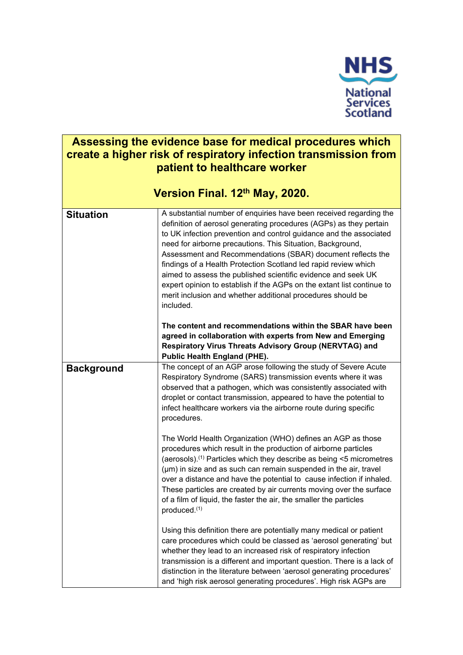

# **Assessing the evidence base for medical procedures which create a higher risk of respiratory infection transmission from patient to healthcare worker**

|                   | Version Final. 12th May, 2020.                                                                                                                                                                                                                                                                                                                                                                                                                                                                                                                                                                                                                                                                                                                                                                                             |
|-------------------|----------------------------------------------------------------------------------------------------------------------------------------------------------------------------------------------------------------------------------------------------------------------------------------------------------------------------------------------------------------------------------------------------------------------------------------------------------------------------------------------------------------------------------------------------------------------------------------------------------------------------------------------------------------------------------------------------------------------------------------------------------------------------------------------------------------------------|
| <b>Situation</b>  | A substantial number of enquiries have been received regarding the<br>definition of aerosol generating procedures (AGPs) as they pertain<br>to UK infection prevention and control guidance and the associated<br>need for airborne precautions. This Situation, Background,<br>Assessment and Recommendations (SBAR) document reflects the<br>findings of a Health Protection Scotland led rapid review which<br>aimed to assess the published scientific evidence and seek UK<br>expert opinion to establish if the AGPs on the extant list continue to<br>merit inclusion and whether additional procedures should be<br>included.<br>The content and recommendations within the SBAR have been<br>agreed in collaboration with experts from New and Emerging<br>Respiratory Virus Threats Advisory Group (NERVTAG) and |
|                   | <b>Public Health England (PHE).</b>                                                                                                                                                                                                                                                                                                                                                                                                                                                                                                                                                                                                                                                                                                                                                                                        |
| <b>Background</b> | The concept of an AGP arose following the study of Severe Acute<br>Respiratory Syndrome (SARS) transmission events where it was<br>observed that a pathogen, which was consistently associated with<br>droplet or contact transmission, appeared to have the potential to<br>infect healthcare workers via the airborne route during specific<br>procedures.                                                                                                                                                                                                                                                                                                                                                                                                                                                               |
|                   | The World Health Organization (WHO) defines an AGP as those<br>procedures which result in the production of airborne particles<br>(aerosols). <sup>(1)</sup> Particles which they describe as being <5 micrometres<br>(µm) in size and as such can remain suspended in the air, travel<br>over a distance and have the potential to cause infection if inhaled.<br>These particles are created by air currents moving over the surface<br>of a film of liquid, the faster the air, the smaller the particles<br>produced. <sup>(1)</sup>                                                                                                                                                                                                                                                                                   |
|                   | Using this definition there are potentially many medical or patient<br>care procedures which could be classed as 'aerosol generating' but<br>whether they lead to an increased risk of respiratory infection<br>transmission is a different and important question. There is a lack of<br>distinction in the literature between 'aerosol generating procedures'<br>and 'high risk aerosol generating procedures'. High risk AGPs are                                                                                                                                                                                                                                                                                                                                                                                       |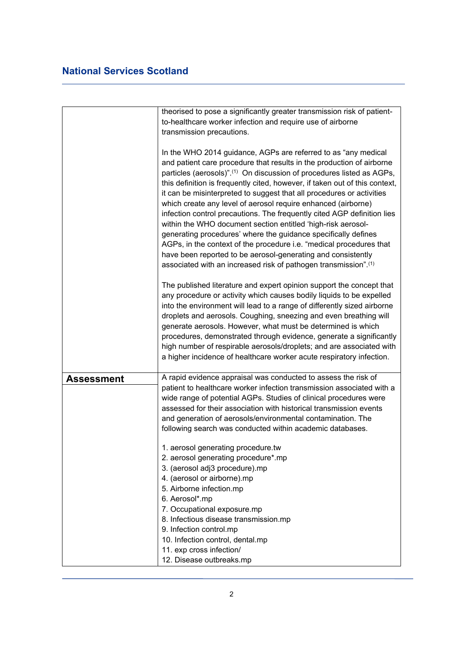| theorised to pose a significantly greater transmission risk of patient-                                                                                                                                                                                                                                                                                                                                                                                                                                                                                                                                                                                                                                                                                                                                                                                                      |
|------------------------------------------------------------------------------------------------------------------------------------------------------------------------------------------------------------------------------------------------------------------------------------------------------------------------------------------------------------------------------------------------------------------------------------------------------------------------------------------------------------------------------------------------------------------------------------------------------------------------------------------------------------------------------------------------------------------------------------------------------------------------------------------------------------------------------------------------------------------------------|
| to-healthcare worker infection and require use of airborne                                                                                                                                                                                                                                                                                                                                                                                                                                                                                                                                                                                                                                                                                                                                                                                                                   |
| transmission precautions.                                                                                                                                                                                                                                                                                                                                                                                                                                                                                                                                                                                                                                                                                                                                                                                                                                                    |
|                                                                                                                                                                                                                                                                                                                                                                                                                                                                                                                                                                                                                                                                                                                                                                                                                                                                              |
| In the WHO 2014 guidance, AGPs are referred to as "any medical<br>and patient care procedure that results in the production of airborne<br>particles (aerosols)". <sup>(1)</sup> On discussion of procedures listed as AGPs,<br>this definition is frequently cited, however, if taken out of this context,<br>it can be misinterpreted to suggest that all procedures or activities<br>which create any level of aerosol require enhanced (airborne)<br>infection control precautions. The frequently cited AGP definition lies<br>within the WHO document section entitled 'high-risk aerosol-<br>generating procedures' where the guidance specifically defines<br>AGPs, in the context of the procedure i.e. "medical procedures that<br>have been reported to be aerosol-generating and consistently<br>associated with an increased risk of pathogen transmission".(1) |
| The published literature and expert opinion support the concept that<br>any procedure or activity which causes bodily liquids to be expelled<br>into the environment will lead to a range of differently sized airborne<br>droplets and aerosols. Coughing, sneezing and even breathing will<br>generate aerosols. However, what must be determined is which<br>procedures, demonstrated through evidence, generate a significantly<br>high number of respirable aerosols/droplets; and are associated with<br>a higher incidence of healthcare worker acute respiratory infection.                                                                                                                                                                                                                                                                                          |
| A rapid evidence appraisal was conducted to assess the risk of                                                                                                                                                                                                                                                                                                                                                                                                                                                                                                                                                                                                                                                                                                                                                                                                               |
| patient to healthcare worker infection transmission associated with a<br>wide range of potential AGPs. Studies of clinical procedures were<br>assessed for their association with historical transmission events<br>and generation of aerosols/environmental contamination. The<br>following search was conducted within academic databases.                                                                                                                                                                                                                                                                                                                                                                                                                                                                                                                                 |
| 1. aerosol generating procedure.tw                                                                                                                                                                                                                                                                                                                                                                                                                                                                                                                                                                                                                                                                                                                                                                                                                                           |
| 2. aerosol generating procedure*.mp                                                                                                                                                                                                                                                                                                                                                                                                                                                                                                                                                                                                                                                                                                                                                                                                                                          |
| 3. (aerosol adj3 procedure).mp                                                                                                                                                                                                                                                                                                                                                                                                                                                                                                                                                                                                                                                                                                                                                                                                                                               |
| 4. (aerosol or airborne).mp                                                                                                                                                                                                                                                                                                                                                                                                                                                                                                                                                                                                                                                                                                                                                                                                                                                  |
| 5. Airborne infection.mp                                                                                                                                                                                                                                                                                                                                                                                                                                                                                                                                                                                                                                                                                                                                                                                                                                                     |
| 6. Aerosol*.mp                                                                                                                                                                                                                                                                                                                                                                                                                                                                                                                                                                                                                                                                                                                                                                                                                                                               |
| 7. Occupational exposure.mp                                                                                                                                                                                                                                                                                                                                                                                                                                                                                                                                                                                                                                                                                                                                                                                                                                                  |
| 8. Infectious disease transmission.mp                                                                                                                                                                                                                                                                                                                                                                                                                                                                                                                                                                                                                                                                                                                                                                                                                                        |
| 9. Infection control.mp                                                                                                                                                                                                                                                                                                                                                                                                                                                                                                                                                                                                                                                                                                                                                                                                                                                      |
| 10. Infection control, dental.mp                                                                                                                                                                                                                                                                                                                                                                                                                                                                                                                                                                                                                                                                                                                                                                                                                                             |
|                                                                                                                                                                                                                                                                                                                                                                                                                                                                                                                                                                                                                                                                                                                                                                                                                                                                              |
| 11. exp cross infection/                                                                                                                                                                                                                                                                                                                                                                                                                                                                                                                                                                                                                                                                                                                                                                                                                                                     |
|                                                                                                                                                                                                                                                                                                                                                                                                                                                                                                                                                                                                                                                                                                                                                                                                                                                                              |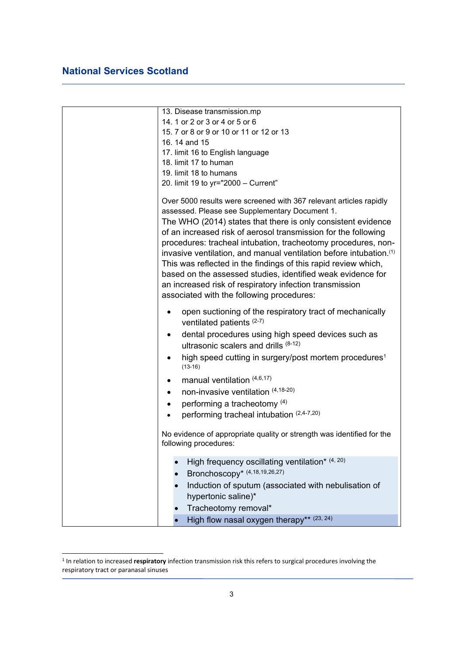|           | 13. Disease transmission.mp                                                                    |
|-----------|------------------------------------------------------------------------------------------------|
|           | 14. 1 or 2 or 3 or 4 or 5 or 6                                                                 |
|           | 15. 7 or 8 or 9 or 10 or 11 or 12 or 13                                                        |
|           | 16.14 and 15                                                                                   |
|           | 17. limit 16 to English language                                                               |
|           | 18. limit 17 to human                                                                          |
|           | 19. limit 18 to humans                                                                         |
|           | 20. limit 19 to yr="2000 - Current"                                                            |
|           | Over 5000 results were screened with 367 relevant articles rapidly                             |
|           | assessed. Please see Supplementary Document 1.                                                 |
|           | The WHO (2014) states that there is only consistent evidence                                   |
|           | of an increased risk of aerosol transmission for the following                                 |
|           | procedures: tracheal intubation, tracheotomy procedures, non-                                  |
|           | invasive ventilation, and manual ventilation before intubation. <sup>(1)</sup>                 |
|           | This was reflected in the findings of this rapid review which,                                 |
|           | based on the assessed studies, identified weak evidence for                                    |
|           | an increased risk of respiratory infection transmission                                        |
|           | associated with the following procedures:                                                      |
|           | open suctioning of the respiratory tract of mechanically                                       |
|           | ventilated patients (2-7)                                                                      |
| $\bullet$ | dental procedures using high speed devices such as                                             |
|           | ultrasonic scalers and drills $(8-12)$                                                         |
|           | high speed cutting in surgery/post mortem procedures <sup>1</sup>                              |
|           | $(13-16)$                                                                                      |
|           | manual ventilation (4,6,17)                                                                    |
| $\bullet$ | non-invasive ventilation (4,18-20)                                                             |
|           | performing a tracheotomy (4)                                                                   |
|           | performing tracheal intubation (2,4-7,20)                                                      |
|           |                                                                                                |
|           | No evidence of appropriate quality or strength was identified for the<br>following procedures: |
|           |                                                                                                |
|           | High frequency oscillating ventilation* (4, 20)                                                |
|           | Bronchoscopy* (4,18,19,26,27)                                                                  |
|           | Induction of sputum (associated with nebulisation of                                           |
|           | hypertonic saline)*                                                                            |
|           | Tracheotomy removal*                                                                           |
|           | High flow nasal oxygen therapy** (23, 24)                                                      |

<sup>1</sup> In relation to increased **respiratory** infection transmission risk this refers to surgical procedures involving the respiratory tract or paranasal sinuses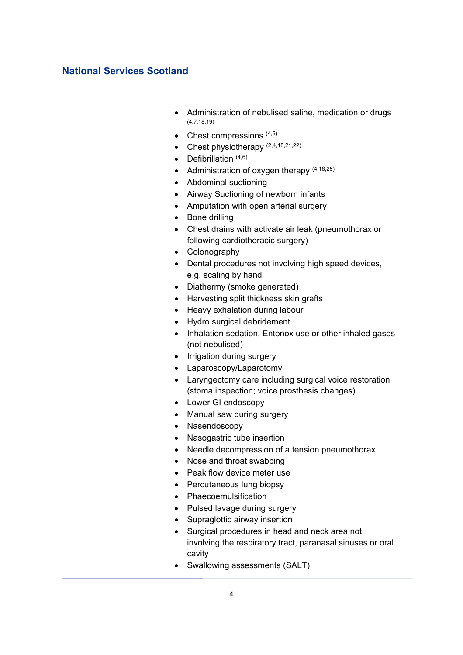| $\bullet$ | Administration of nebulised saline, medication or drugs<br>(4,7,18,19) |
|-----------|------------------------------------------------------------------------|
|           | • Chest compressions $(4,6)$                                           |
|           | • Chest physiotherapy $(2,4,18,21,22)$                                 |
| $\bullet$ | Defibrillation (4,6)                                                   |
|           | • Administration of oxygen therapy $(4,18,25)$                         |
|           | • Abdominal suctioning                                                 |
|           | • Airway Suctioning of newborn infants                                 |
| $\bullet$ | Amputation with open arterial surgery                                  |
|           | • Bone drilling                                                        |
| $\bullet$ | Chest drains with activate air leak (pneumothorax or                   |
|           | following cardiothoracic surgery)                                      |
|           | Colonography                                                           |
|           | Dental procedures not involving high speed devices,                    |
|           | e.g. scaling by hand                                                   |
| $\bullet$ | Diathermy (smoke generated)                                            |
| $\bullet$ | Harvesting split thickness skin grafts                                 |
| $\bullet$ | Heavy exhalation during labour                                         |
| $\bullet$ | Hydro surgical debridement                                             |
| $\bullet$ | Inhalation sedation, Entonox use or other inhaled gases                |
|           | (not nebulised)                                                        |
| $\bullet$ | Irrigation during surgery                                              |
| $\bullet$ | Laparoscopy/Laparotomy                                                 |
|           | Laryngectomy care including surgical voice restoration                 |
|           | (stoma inspection; voice prosthesis changes)                           |
|           | • Lower GI endoscopy                                                   |
|           | Manual saw during surgery                                              |
| $\bullet$ | Nasendoscopy                                                           |
|           | Nasogastric tube insertion                                             |
|           | Needle decompression of a tension pneumothorax                         |
|           | Nose and throat swabbing                                               |
|           | Peak flow device meter use                                             |
|           | Percutaneous lung biopsy                                               |
|           | Phaecoemulsification                                                   |
|           | Pulsed lavage during surgery                                           |
| ٠         | Supraglottic airway insertion                                          |
|           | Surgical procedures in head and neck area not                          |
|           | involving the respiratory tract, paranasal sinuses or oral             |
|           | cavity                                                                 |
|           | Swallowing assessments (SALT)                                          |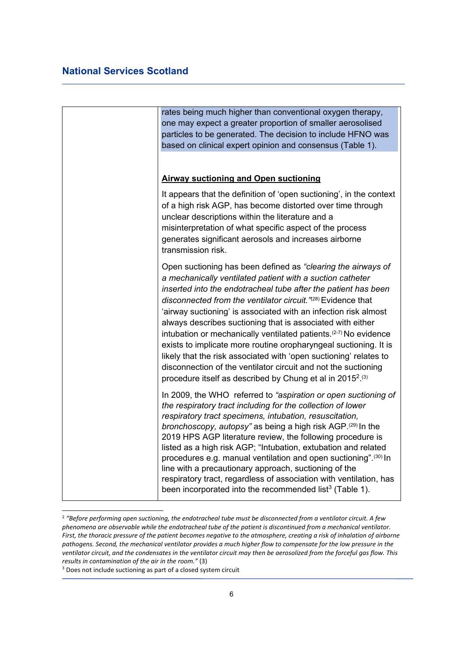|  | rates being much higher than conventional oxygen therapy,<br>one may expect a greater proportion of smaller aerosolised<br>particles to be generated. The decision to include HFNO was<br>based on clinical expert opinion and consensus (Table 1).                                                                                                                                                                                                                                                                                                                                                                                                                                                                                                                            |
|--|--------------------------------------------------------------------------------------------------------------------------------------------------------------------------------------------------------------------------------------------------------------------------------------------------------------------------------------------------------------------------------------------------------------------------------------------------------------------------------------------------------------------------------------------------------------------------------------------------------------------------------------------------------------------------------------------------------------------------------------------------------------------------------|
|  | <b>Airway suctioning and Open suctioning</b>                                                                                                                                                                                                                                                                                                                                                                                                                                                                                                                                                                                                                                                                                                                                   |
|  | It appears that the definition of 'open suctioning', in the context<br>of a high risk AGP, has become distorted over time through<br>unclear descriptions within the literature and a<br>misinterpretation of what specific aspect of the process<br>generates significant aerosols and increases airborne<br>transmission risk.                                                                                                                                                                                                                                                                                                                                                                                                                                               |
|  | Open suctioning has been defined as "clearing the airways of<br>a mechanically ventilated patient with a suction catheter<br>inserted into the endotracheal tube after the patient has been<br>disconnected from the ventilator circuit. "(28) Evidence that<br>'airway suctioning' is associated with an infection risk almost<br>always describes suctioning that is associated with either<br>intubation or mechanically ventilated patients. <sup>(2-7)</sup> No evidence<br>exists to implicate more routine oropharyngeal suctioning. It is<br>likely that the risk associated with 'open suctioning' relates to<br>disconnection of the ventilator circuit and not the suctioning<br>procedure itself as described by Chung et al in 2015 <sup>2</sup> . <sup>(3)</sup> |
|  | In 2009, the WHO referred to "aspiration or open suctioning of<br>the respiratory tract including for the collection of lower<br>respiratory tract specimens, intubation, resuscitation,<br>bronchoscopy, autopsy" as being a high risk AGP. (29) In the<br>2019 HPS AGP literature review, the following procedure is<br>listed as a high risk AGP; "Intubation, extubation and related<br>procedures e.g. manual ventilation and open suctioning".(30) In<br>line with a precautionary approach, suctioning of the<br>respiratory tract, regardless of association with ventilation, has<br>been incorporated into the recommended list <sup>3</sup> (Table 1).                                                                                                              |

<sup>2</sup> *"Before performing open suctioning, the endotracheal tube must be disconnected from a ventilator circuit. A few phenomena are observable while the endotracheal tube of the patient is discontinued from a mechanical ventilator. First, the thoracic pressure of the patient becomes negative to the atmosphere, creating a risk of inhalation of airborne*  pathogens. Second, the mechanical ventilator provides a much higher flow to compensate for the low pressure in the *ventilator circuit, and the condensates in the ventilator circuit may then be aerosolized from the forceful gas flow. This results in contamination of the air in the room."* (3)

<sup>3</sup> Does not include suctioning as part of a closed system circuit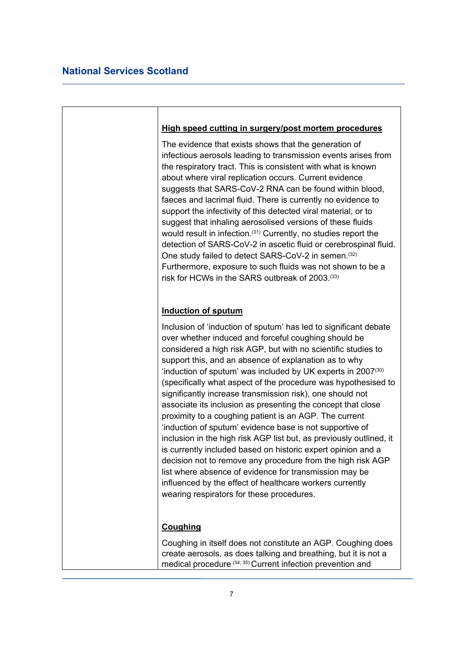#### **High speed cutting in surgery/post mortem procedures**

The evidence that exists shows that the generation of infectious aerosols leading to transmission events arises from the respiratory tract. This is consistent with what is known about where viral replication occurs. Current evidence suggests that SARS-CoV-2 RNA can be found within blood, faeces and lacrimal fluid. There is currently no evidence to support the infectivity of this detected viral material, or to suggest that inhaling aerosolised versions of these fluids would result in infection.(31) Currently, no studies report the detection of SARS-CoV-2 in ascetic fluid or cerebrospinal fluid. One study failed to detect SARS-CoV-2 in semen.(32) Furthermore, exposure to such fluids was not shown to be a risk for HCWs in the SARS outbreak of 2003.(33)

#### **Induction of sputum**

Inclusion of 'induction of sputum' has led to significant debate over whether induced and forceful coughing should be considered a high risk AGP, but with no scientific studies to support this, and an absence of explanation as to why 'induction of sputum' was included by UK experts in 2007(30) (specifically what aspect of the procedure was hypothesised to significantly increase transmission risk), one should not associate its inclusion as presenting the concept that close proximity to a coughing patient is an AGP. The current 'induction of sputum' evidence base is not supportive of inclusion in the high risk AGP list but, as previously outlined, it is currently included based on historic expert opinion and a decision not to remove any procedure from the high risk AGP list where absence of evidence for transmission may be influenced by the effect of healthcare workers currently wearing respirators for these procedures.

### **Coughing**

Coughing in itself does not constitute an AGP. Coughing does create aerosols, as does talking and breathing, but it is not a medical procedure. (34, 35) Current infection prevention and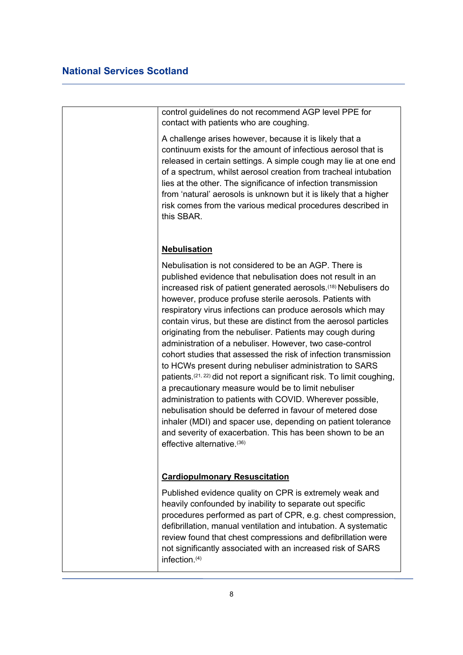control guidelines do not recommend AGP level PPE for contact with patients who are coughing.

A challenge arises however, because it is likely that a continuum exists for the amount of infectious aerosol that is released in certain settings. A simple cough may lie at one end of a spectrum, whilst aerosol creation from tracheal intubation lies at the other. The significance of infection transmission from 'natural' aerosols is unknown but it is likely that a higher risk comes from the various medical procedures described in this SBAR.

#### **Nebulisation**

Nebulisation is not considered to be an AGP. There is published evidence that nebulisation does not result in an increased risk of patient generated aerosols.<sup>(18)</sup> Nebulisers do however, produce profuse sterile aerosols. Patients with respiratory virus infections can produce aerosols which may contain virus, but these are distinct from the aerosol particles originating from the nebuliser. Patients may cough during administration of a nebuliser. However, two case-control cohort studies that assessed the risk of infection transmission to HCWs present during nebuliser administration to SARS patients.(21, 22) did not report a significant risk. To limit coughing, a precautionary measure would be to limit nebuliser administration to patients with COVID. Wherever possible, nebulisation should be deferred in favour of metered dose inhaler (MDI) and spacer use, depending on patient tolerance and severity of exacerbation. This has been shown to be an effective alternative. (36)

#### **Cardiopulmonary Resuscitation**

Published evidence quality on CPR is extremely weak and heavily confounded by inability to separate out specific procedures performed as part of CPR, e.g. chest compression, defibrillation, manual ventilation and intubation. A systematic review found that chest compressions and defibrillation were not significantly associated with an increased risk of SARS infection.(4)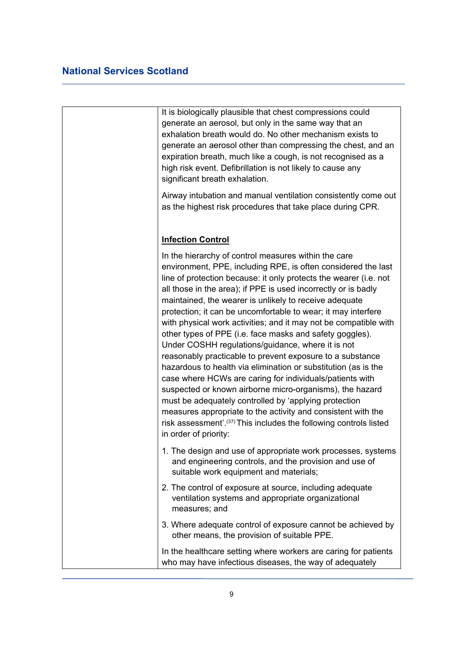| It is biologically plausible that chest compressions could<br>generate an aerosol, but only in the same way that an<br>exhalation breath would do. No other mechanism exists to<br>generate an aerosol other than compressing the chest, and an<br>expiration breath, much like a cough, is not recognised as a<br>high risk event. Defibrillation is not likely to cause any<br>significant breath exhalation.                                                                                                                                                                                                                                                                                                                                                                                                                                                                                                                                                                                                                                                        |
|------------------------------------------------------------------------------------------------------------------------------------------------------------------------------------------------------------------------------------------------------------------------------------------------------------------------------------------------------------------------------------------------------------------------------------------------------------------------------------------------------------------------------------------------------------------------------------------------------------------------------------------------------------------------------------------------------------------------------------------------------------------------------------------------------------------------------------------------------------------------------------------------------------------------------------------------------------------------------------------------------------------------------------------------------------------------|
| Airway intubation and manual ventilation consistently come out<br>as the highest risk procedures that take place during CPR.                                                                                                                                                                                                                                                                                                                                                                                                                                                                                                                                                                                                                                                                                                                                                                                                                                                                                                                                           |
| <b>Infection Control</b>                                                                                                                                                                                                                                                                                                                                                                                                                                                                                                                                                                                                                                                                                                                                                                                                                                                                                                                                                                                                                                               |
| In the hierarchy of control measures within the care<br>environment, PPE, including RPE, is often considered the last<br>line of protection because: it only protects the wearer (i.e. not<br>all those in the area); if PPE is used incorrectly or is badly<br>maintained, the wearer is unlikely to receive adequate<br>protection; it can be uncomfortable to wear; it may interfere<br>with physical work activities; and it may not be compatible with<br>other types of PPE (i.e. face masks and safety goggles).<br>Under COSHH regulations/guidance, where it is not<br>reasonably practicable to prevent exposure to a substance<br>hazardous to health via elimination or substitution (as is the<br>case where HCWs are caring for individuals/patients with<br>suspected or known airborne micro-organisms), the hazard<br>must be adequately controlled by 'applying protection<br>measures appropriate to the activity and consistent with the<br>risk assessment'. <sup>(37)</sup> This includes the following controls listed<br>in order of priority: |
| 1. The design and use of appropriate work processes, systems<br>and engineering controls, and the provision and use of<br>suitable work equipment and materials;                                                                                                                                                                                                                                                                                                                                                                                                                                                                                                                                                                                                                                                                                                                                                                                                                                                                                                       |
| 2. The control of exposure at source, including adequate<br>ventilation systems and appropriate organizational<br>measures; and                                                                                                                                                                                                                                                                                                                                                                                                                                                                                                                                                                                                                                                                                                                                                                                                                                                                                                                                        |
| 3. Where adequate control of exposure cannot be achieved by<br>other means, the provision of suitable PPE.                                                                                                                                                                                                                                                                                                                                                                                                                                                                                                                                                                                                                                                                                                                                                                                                                                                                                                                                                             |
| In the healthcare setting where workers are caring for patients<br>who may have infectious diseases, the way of adequately                                                                                                                                                                                                                                                                                                                                                                                                                                                                                                                                                                                                                                                                                                                                                                                                                                                                                                                                             |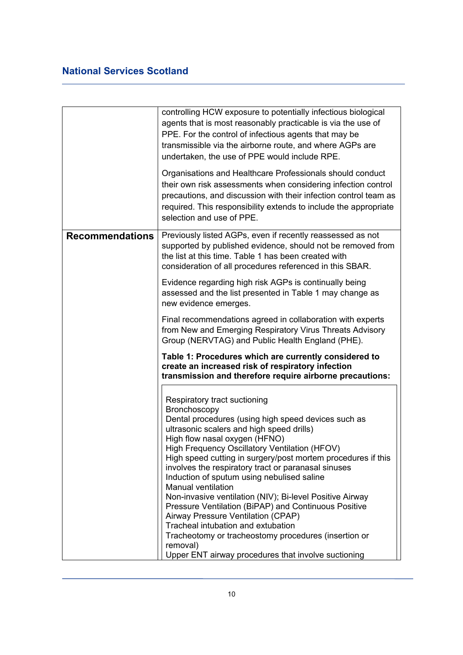|                        | controlling HCW exposure to potentially infectious biological<br>agents that is most reasonably practicable is via the use of<br>PPE. For the control of infectious agents that may be<br>transmissible via the airborne route, and where AGPs are<br>undertaken, the use of PPE would include RPE.<br>Organisations and Healthcare Professionals should conduct<br>their own risk assessments when considering infection control<br>precautions, and discussion with their infection control team as<br>required. This responsibility extends to include the appropriate<br>selection and use of PPE.                                                                                                                                                          |
|------------------------|-----------------------------------------------------------------------------------------------------------------------------------------------------------------------------------------------------------------------------------------------------------------------------------------------------------------------------------------------------------------------------------------------------------------------------------------------------------------------------------------------------------------------------------------------------------------------------------------------------------------------------------------------------------------------------------------------------------------------------------------------------------------|
| <b>Recommendations</b> | Previously listed AGPs, even if recently reassessed as not<br>supported by published evidence, should not be removed from<br>the list at this time. Table 1 has been created with<br>consideration of all procedures referenced in this SBAR.                                                                                                                                                                                                                                                                                                                                                                                                                                                                                                                   |
|                        | Evidence regarding high risk AGPs is continually being<br>assessed and the list presented in Table 1 may change as<br>new evidence emerges.                                                                                                                                                                                                                                                                                                                                                                                                                                                                                                                                                                                                                     |
|                        | Final recommendations agreed in collaboration with experts<br>from New and Emerging Respiratory Virus Threats Advisory<br>Group (NERVTAG) and Public Health England (PHE).                                                                                                                                                                                                                                                                                                                                                                                                                                                                                                                                                                                      |
|                        | Table 1: Procedures which are currently considered to<br>create an increased risk of respiratory infection<br>transmission and therefore require airborne precautions:                                                                                                                                                                                                                                                                                                                                                                                                                                                                                                                                                                                          |
|                        | Respiratory tract suctioning<br>Bronchoscopy<br>Dental procedures (using high speed devices such as<br>ultrasonic scalers and high speed drills)<br>High flow nasal oxygen (HFNO)<br>High Frequency Oscillatory Ventilation (HFOV)<br>High speed cutting in surgery/post mortem procedures if this<br>involves the respiratory tract or paranasal sinuses<br>Induction of sputum using nebulised saline<br><b>Manual ventilation</b><br>Non-invasive ventilation (NIV); Bi-level Positive Airway<br>Pressure Ventilation (BiPAP) and Continuous Positive<br>Airway Pressure Ventilation (CPAP)<br>Tracheal intubation and extubation<br>Tracheotomy or tracheostomy procedures (insertion or<br>removal)<br>Upper ENT airway procedures that involve suctioning |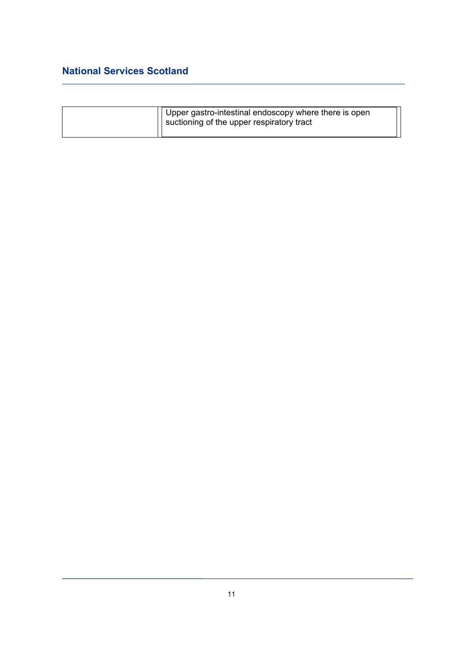| Upper gastro-intestinal endoscopy where there is open<br>'  suctioning of the upper respiratory tract |
|-------------------------------------------------------------------------------------------------------|
|                                                                                                       |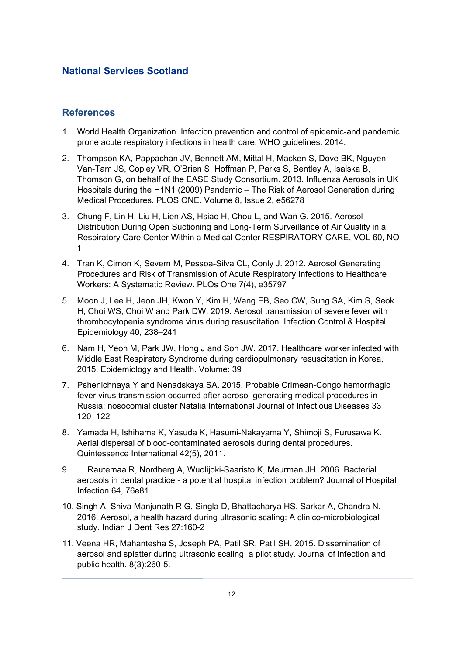### **References**

- 1. World Health Organization. Infection prevention and control of epidemic-and pandemic prone acute respiratory infections in health care. WHO guidelines. 2014.
- 2. Thompson KA, Pappachan JV, Bennett AM, Mittal H, Macken S, Dove BK, Nguyen-Van-Tam JS, Copley VR, O'Brien S, Hoffman P, Parks S, Bentley A, Isalska B, Thomson G, on behalf of the EASE Study Consortium. 2013. Influenza Aerosols in UK Hospitals during the H1N1 (2009) Pandemic – The Risk of Aerosol Generation during Medical Procedures. PLOS ONE. Volume 8, Issue 2, e56278
- 3. Chung F, Lin H, Liu H, Lien AS, Hsiao H, Chou L, and Wan G. 2015. Aerosol Distribution During Open Suctioning and Long-Term Surveillance of Air Quality in a Respiratory Care Center Within a Medical Center RESPIRATORY CARE, VOL 60, NO 1
- 4. Tran K, Cimon K, Severn M, Pessoa-Silva CL, Conly J. 2012. Aerosol Generating Procedures and Risk of Transmission of Acute Respiratory Infections to Healthcare Workers: A Systematic Review. PLOs One 7(4), e35797
- 5. Moon J, Lee H, Jeon JH, Kwon Y, Kim H, Wang EB, Seo CW, Sung SA, Kim S, Seok H, Choi WS, Choi W and Park DW. 2019. Aerosol transmission of severe fever with thrombocytopenia syndrome virus during resuscitation. Infection Control & Hospital Epidemiology 40, 238–241
- 6. Nam H, Yeon M, Park JW, Hong J and Son JW. 2017. Healthcare worker infected with Middle East Respiratory Syndrome during cardiopulmonary resuscitation in Korea, 2015. Epidemiology and Health. Volume: 39
- 7. Pshenichnaya Y and Nenadskaya SA. 2015. Probable Crimean-Congo hemorrhagic fever virus transmission occurred after aerosol-generating medical procedures in Russia: nosocomial cluster Natalia International Journal of Infectious Diseases 33 120–122
- 8. Yamada H, Ishihama K, Yasuda K, Hasumi-Nakayama Y, Shimoji S, Furusawa K. Aerial dispersal of blood-contaminated aerosols during dental procedures. Quintessence International 42(5), 2011.
- 9. Rautemaa R, Nordberg A, Wuolijoki-Saaristo K, Meurman JH. 2006. Bacterial aerosols in dental practice - a potential hospital infection problem? Journal of Hospital Infection 64, 76e81.
- 10. Singh A, Shiva Manjunath R G, Singla D, Bhattacharya HS, Sarkar A, Chandra N. 2016. Aerosol, a health hazard during ultrasonic scaling: A clinico-microbiological study. Indian J Dent Res 27:160-2
- 11. Veena HR, Mahantesha S, Joseph PA, Patil SR, Patil SH. 2015. Dissemination of aerosol and splatter during ultrasonic scaling: a pilot study. Journal of infection and public health. 8(3):260-5.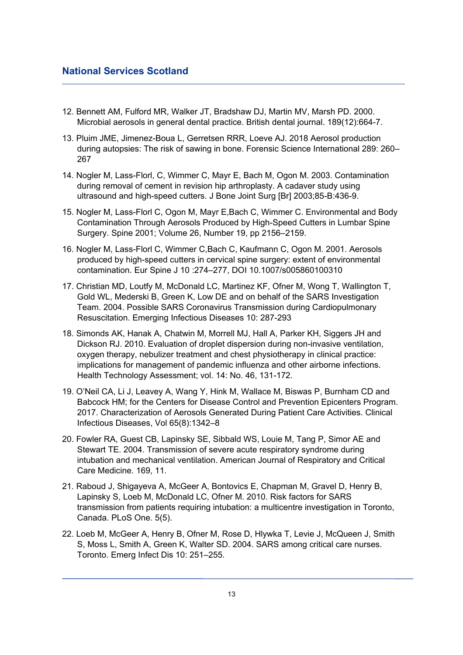- 12. Bennett AM, Fulford MR, Walker JT, Bradshaw DJ, Martin MV, Marsh PD. 2000. Microbial aerosols in general dental practice. British dental journal. 189(12):664-7.
- 13. Pluim JME, Jimenez-Boua L, Gerretsen RRR, Loeve AJ. 2018 Aerosol production during autopsies: The risk of sawing in bone. Forensic Science International 289: 260– 267
- 14. Nogler M, Lass-Florl, C, Wimmer C, Mayr E, Bach M, Ogon M. 2003. Contamination during removal of cement in revision hip arthroplasty. A cadaver study using ultrasound and high-speed cutters. J Bone Joint Surg [Br] 2003;85-B:436-9.
- 15. Nogler M, Lass-Florl C, Ogon M, Mayr E,Bach C, Wimmer C. Environmental and Body Contamination Through Aerosols Produced by High-Speed Cutters in Lumbar Spine Surgery. Spine 2001; Volume 26, Number 19, pp 2156–2159.
- 16. Nogler M, Lass-Florl C, Wimmer C,Bach C, Kaufmann C, Ogon M. 2001. Aerosols produced by high-speed cutters in cervical spine surgery: extent of environmental contamination. Eur Spine J 10 :274–277, DOI 10.1007/s005860100310
- 17. Christian MD, Loutfy M, McDonald LC, Martinez KF, Ofner M, Wong T, Wallington T, Gold WL, Mederski B, Green K, Low DE and on behalf of the SARS Investigation Team. 2004. Possible SARS Coronavirus Transmission during Cardiopulmonary Resuscitation. Emerging Infectious Diseases 10: 287-293
- 18. Simonds AK, Hanak A, Chatwin M, Morrell MJ, Hall A, Parker KH, Siggers JH and Dickson RJ. 2010. Evaluation of droplet dispersion during non-invasive ventilation, oxygen therapy, nebulizer treatment and chest physiotherapy in clinical practice: implications for management of pandemic influenza and other airborne infections. Health Technology Assessment; vol. 14: No. 46, 131-172.
- 19. O'Neil CA, Li J, Leavey A, Wang Y, Hink M, Wallace M, Biswas P, Burnham CD and Babcock HM; for the Centers for Disease Control and Prevention Epicenters Program. 2017. Characterization of Aerosols Generated During Patient Care Activities. Clinical Infectious Diseases, Vol 65(8):1342–8
- 20. Fowler RA, Guest CB, Lapinsky SE, Sibbald WS, Louie M, Tang P, Simor AE and Stewart TE. 2004. Transmission of severe acute respiratory syndrome during intubation and mechanical ventilation. American Journal of Respiratory and Critical Care Medicine. 169, 11.
- 21. Raboud J, Shigayeva A, McGeer A, Bontovics E, Chapman M, Gravel D, Henry B, Lapinsky S, Loeb M, McDonald LC, Ofner M. 2010. Risk factors for SARS transmission from patients requiring intubation: a multicentre investigation in Toronto, Canada. PLoS One. 5(5).
- 22. Loeb M, McGeer A, Henry B, Ofner M, Rose D, Hlywka T, Levie J, McQueen J, Smith S, Moss L, Smith A, Green K, Walter SD. 2004. SARS among critical care nurses. Toronto. Emerg Infect Dis 10: 251–255.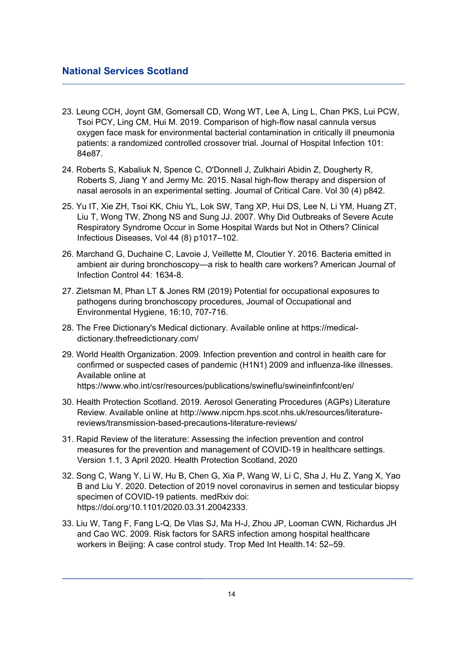- 23. Leung CCH, Joynt GM, Gomersall CD, Wong WT, Lee A, Ling L, Chan PKS, Lui PCW, Tsoi PCY, Ling CM, Hui M. 2019. Comparison of high-flow nasal cannula versus oxygen face mask for environmental bacterial contamination in critically ill pneumonia patients: a randomized controlled crossover trial. Journal of Hospital Infection 101: 84e87.
- 24. Roberts S, Kabaliuk N, Spence C, O'Donnell J, Zulkhairi Abidin Z, Dougherty R, Roberts S, Jiang Y and Jermy Mc. 2015. Nasal high-flow therapy and dispersion of nasal aerosols in an experimental setting. Journal of Critical Care. Vol 30 (4) p842.
- 25. Yu IT, Xie ZH, Tsoi KK, Chiu YL, Lok SW, Tang XP, Hui DS, Lee N, Li YM, Huang ZT, Liu T, Wong TW, Zhong NS and Sung JJ. 2007. Why Did Outbreaks of Severe Acute Respiratory Syndrome Occur in Some Hospital Wards but Not in Others? Clinical Infectious Diseases, Vol 44 (8) p1017–102.
- 26. Marchand G, Duchaine C, Lavoie J, Veillette M, Cloutier Y. 2016. Bacteria emitted in ambient air during bronchoscopy—a risk to health care workers? American Journal of Infection Control 44: 1634-8.
- 27. Zietsman M, Phan LT & Jones RM (2019) Potential for occupational exposures to pathogens during bronchoscopy procedures, Journal of Occupational and Environmental Hygiene, 16:10, 707-716.
- 28. The Free Dictionary's Medical dictionary. Available online at https://medicaldictionary.thefreedictionary.com/
- 29. World Health Organization. 2009. Infection prevention and control in health care for confirmed or suspected cases of pandemic (H1N1) 2009 and influenza-like illnesses. Available online at https://www.who.int/csr/resources/publications/swineflu/swineinfinfcont/en/
- 30. Health Protection Scotland. 2019. Aerosol Generating Procedures (AGPs) Literature Review. Available online at http://www.nipcm.hps.scot.nhs.uk/resources/literaturereviews/transmission-based-precautions-literature-reviews/
- 31. Rapid Review of the literature: Assessing the infection prevention and control measures for the prevention and management of COVID-19 in healthcare settings. Version 1.1, 3 April 2020. Health Protection Scotland, 2020
- 32. Song C, Wang Y, Li W, Hu B, Chen G, Xia P, Wang W, Li C, Sha J, Hu Z, Yang X, Yao B and Liu Y. 2020. Detection of 2019 novel coronavirus in semen and testicular biopsy specimen of COVID-19 patients. medRxiv doi: https://doi.org/10.1101/2020.03.31.20042333.
- 33. Liu W, Tang F, Fang L-Q, De Vlas SJ, Ma H-J, Zhou JP, Looman CWN, Richardus JH and Cao WC. 2009. Risk factors for SARS infection among hospital healthcare workers in Beijing: A case control study. Trop Med Int Health.14: 52–59.